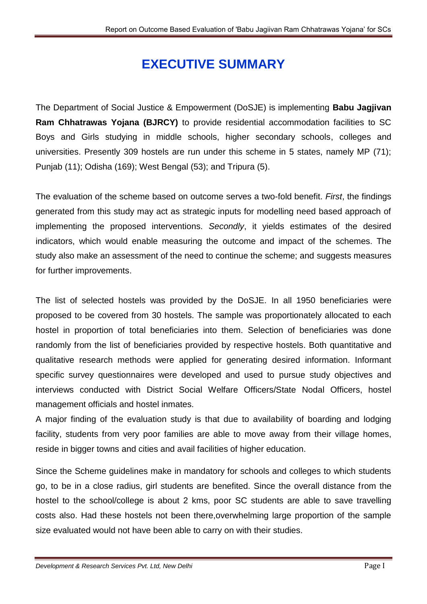# **EXECUTIVE SUMMARY**

The Department of Social Justice & Empowerment (DoSJE) is implementing **Babu Jagjivan Ram Chhatrawas Yojana (BJRCY)** to provide residential accommodation facilities to SC Boys and Girls studying in middle schools, higher secondary schools, colleges and universities. Presently 309 hostels are run under this scheme in 5 states, namely MP (71); Punjab (11); Odisha (169); West Bengal (53); and Tripura (5).

The evaluation of the scheme based on outcome serves a two-fold benefit. *First*, the findings generated from this study may act as strategic inputs for modelling need based approach of implementing the proposed interventions. *Secondly*, it yields estimates of the desired indicators, which would enable measuring the outcome and impact of the schemes. The study also make an assessment of the need to continue the scheme; and suggests measures for further improvements.

The list of selected hostels was provided by the DoSJE. In all 1950 beneficiaries were proposed to be covered from 30 hostels. The sample was proportionately allocated to each hostel in proportion of total beneficiaries into them. Selection of beneficiaries was done randomly from the list of beneficiaries provided by respective hostels. Both quantitative and qualitative research methods were applied for generating desired information. Informant specific survey questionnaires were developed and used to pursue study objectives and interviews conducted with District Social Welfare Officers/State Nodal Officers, hostel management officials and hostel inmates.

A major finding of the evaluation study is that due to availability of boarding and lodging facility, students from very poor families are able to move away from their village homes, reside in bigger towns and cities and avail facilities of higher education.

Since the Scheme guidelines make in mandatory for schools and colleges to which students go, to be in a close radius, girl students are benefited. Since the overall distance from the hostel to the school/college is about 2 kms, poor SC students are able to save travelling costs also. Had these hostels not been there,overwhelming large proportion of the sample size evaluated would not have been able to carry on with their studies.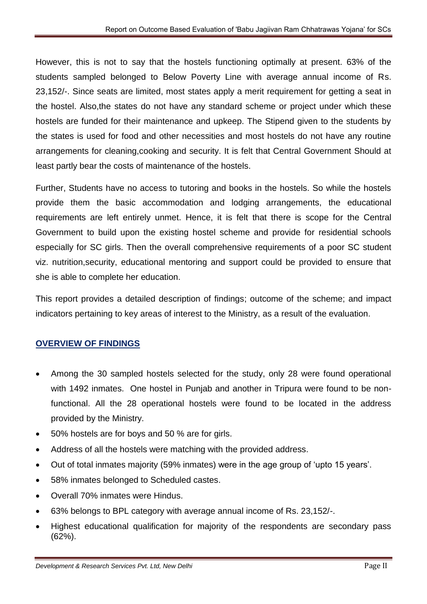However, this is not to say that the hostels functioning optimally at present. 63% of the students sampled belonged to Below Poverty Line with average annual income of Rs. 23,152/-. Since seats are limited, most states apply a merit requirement for getting a seat in the hostel. Also,the states do not have any standard scheme or project under which these hostels are funded for their maintenance and upkeep. The Stipend given to the students by the states is used for food and other necessities and most hostels do not have any routine arrangements for cleaning,cooking and security. It is felt that Central Government Should at least partly bear the costs of maintenance of the hostels.

Further, Students have no access to tutoring and books in the hostels. So while the hostels provide them the basic accommodation and lodging arrangements, the educational requirements are left entirely unmet. Hence, it is felt that there is scope for the Central Government to build upon the existing hostel scheme and provide for residential schools especially for SC girls. Then the overall comprehensive requirements of a poor SC student viz. nutrition,security, educational mentoring and support could be provided to ensure that she is able to complete her education.

This report provides a detailed description of findings; outcome of the scheme; and impact indicators pertaining to key areas of interest to the Ministry, as a result of the evaluation.

## **OVERVIEW OF FINDINGS**

- Among the 30 sampled hostels selected for the study, only 28 were found operational with 1492 inmates. One hostel in Punjab and another in Tripura were found to be nonfunctional. All the 28 operational hostels were found to be located in the address provided by the Ministry.
- 50% hostels are for boys and 50 % are for girls.
- Address of all the hostels were matching with the provided address.
- Out of total inmates majority (59% inmates) were in the age group of 'upto 15 years'.
- 58% inmates belonged to Scheduled castes.
- Overall 70% inmates were Hindus.
- 63% belongs to BPL category with average annual income of Rs. 23,152/-.
- Highest educational qualification for majority of the respondents are secondary pass (62%).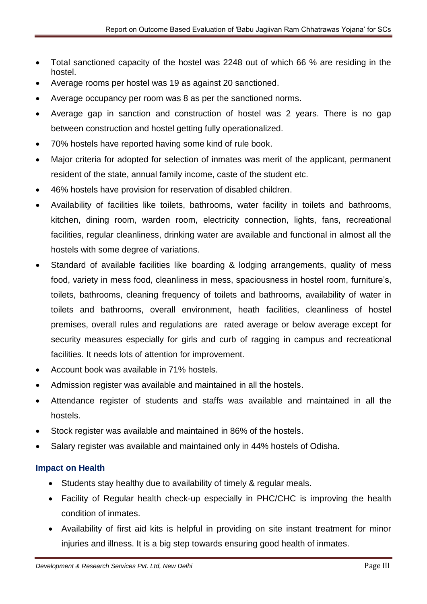- Total sanctioned capacity of the hostel was 2248 out of which 66 % are residing in the hostel.
- Average rooms per hostel was 19 as against 20 sanctioned.
- Average occupancy per room was 8 as per the sanctioned norms.
- Average gap in sanction and construction of hostel was 2 years. There is no gap between construction and hostel getting fully operationalized.
- 70% hostels have reported having some kind of rule book.
- Major criteria for adopted for selection of inmates was merit of the applicant, permanent resident of the state, annual family income, caste of the student etc.
- 46% hostels have provision for reservation of disabled children.
- Availability of facilities like toilets, bathrooms, water facility in toilets and bathrooms, kitchen, dining room, warden room, electricity connection, lights, fans, recreational facilities, regular cleanliness, drinking water are available and functional in almost all the hostels with some degree of variations.
- Standard of available facilities like boarding & lodging arrangements, quality of mess food, variety in mess food, cleanliness in mess, spaciousness in hostel room, furniture's, toilets, bathrooms, cleaning frequency of toilets and bathrooms, availability of water in toilets and bathrooms, overall environment, heath facilities, cleanliness of hostel premises, overall rules and regulations are rated average or below average except for security measures especially for girls and curb of ragging in campus and recreational facilities. It needs lots of attention for improvement.
- Account book was available in 71% hostels.
- Admission register was available and maintained in all the hostels.
- Attendance register of students and staffs was available and maintained in all the hostels.
- Stock register was available and maintained in 86% of the hostels.
- Salary register was available and maintained only in 44% hostels of Odisha.

## **Impact on Health**

- Students stay healthy due to availability of timely & regular meals.
- Facility of Regular health check-up especially in PHC/CHC is improving the health condition of inmates.
- Availability of first aid kits is helpful in providing on site instant treatment for minor injuries and illness. It is a big step towards ensuring good health of inmates.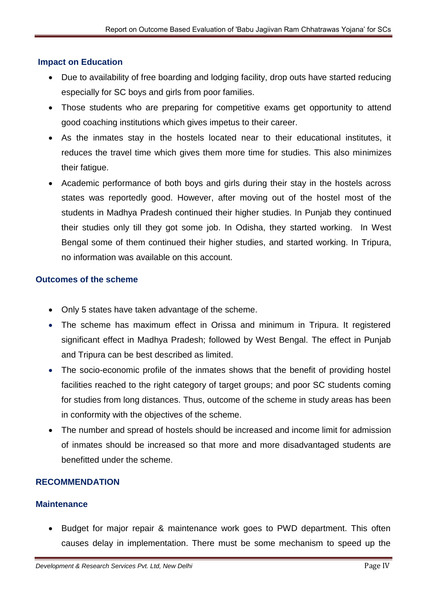## **Impact on Education**

- Due to availability of free boarding and lodging facility, drop outs have started reducing especially for SC boys and girls from poor families.
- Those students who are preparing for competitive exams get opportunity to attend good coaching institutions which gives impetus to their career.
- As the inmates stay in the hostels located near to their educational institutes, it reduces the travel time which gives them more time for studies. This also minimizes their fatigue.
- Academic performance of both boys and girls during their stay in the hostels across states was reportedly good. However, after moving out of the hostel most of the students in Madhya Pradesh continued their higher studies. In Punjab they continued their studies only till they got some job. In Odisha, they started working. In West Bengal some of them continued their higher studies, and started working. In Tripura, no information was available on this account.

#### **Outcomes of the scheme**

- Only 5 states have taken advantage of the scheme.
- The scheme has maximum effect in Orissa and minimum in Tripura. It registered significant effect in Madhya Pradesh; followed by West Bengal. The effect in Punjab and Tripura can be best described as limited.
- The socio-economic profile of the inmates shows that the benefit of providing hostel facilities reached to the right category of target groups; and poor SC students coming for studies from long distances. Thus, outcome of the scheme in study areas has been in conformity with the objectives of the scheme.
- The number and spread of hostels should be increased and income limit for admission of inmates should be increased so that more and more disadvantaged students are benefitted under the scheme.

## **RECOMMENDATION**

#### **Maintenance**

• Budget for major repair & maintenance work goes to PWD department. This often causes delay in implementation. There must be some mechanism to speed up the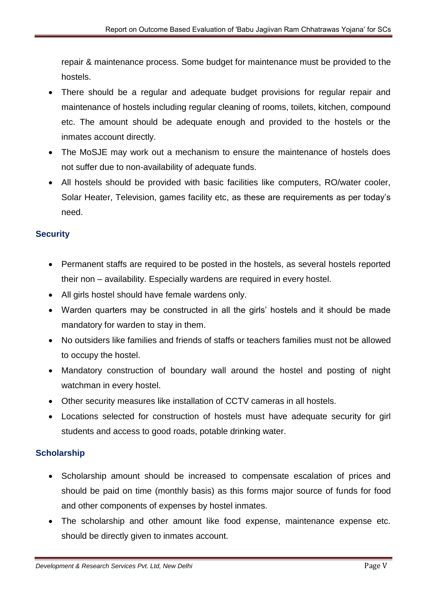repair & maintenance process. Some budget for maintenance must be provided to the hostels.

- There should be a regular and adequate budget provisions for regular repair and maintenance of hostels including regular cleaning of rooms, toilets, kitchen, compound etc. The amount should be adequate enough and provided to the hostels or the inmates account directly.
- The MoSJE may work out a mechanism to ensure the maintenance of hostels does not suffer due to non-availability of adequate funds.
- All hostels should be provided with basic facilities like computers, RO/water cooler, Solar Heater, Television, games facility etc, as these are requirements as per today's need.

## **Security**

- Permanent staffs are required to be posted in the hostels, as several hostels reported their non – availability. Especially wardens are required in every hostel.
- All girls hostel should have female wardens only.
- Warden quarters may be constructed in all the girls' hostels and it should be made mandatory for warden to stay in them.
- No outsiders like families and friends of staffs or teachers families must not be allowed to occupy the hostel.
- Mandatory construction of boundary wall around the hostel and posting of night watchman in every hostel.
- Other security measures like installation of CCTV cameras in all hostels.
- Locations selected for construction of hostels must have adequate security for girl students and access to good roads, potable drinking water.

## **Scholarship**

- Scholarship amount should be increased to compensate escalation of prices and should be paid on time (monthly basis) as this forms major source of funds for food and other components of expenses by hostel inmates.
- The scholarship and other amount like food expense, maintenance expense etc. should be directly given to inmates account.